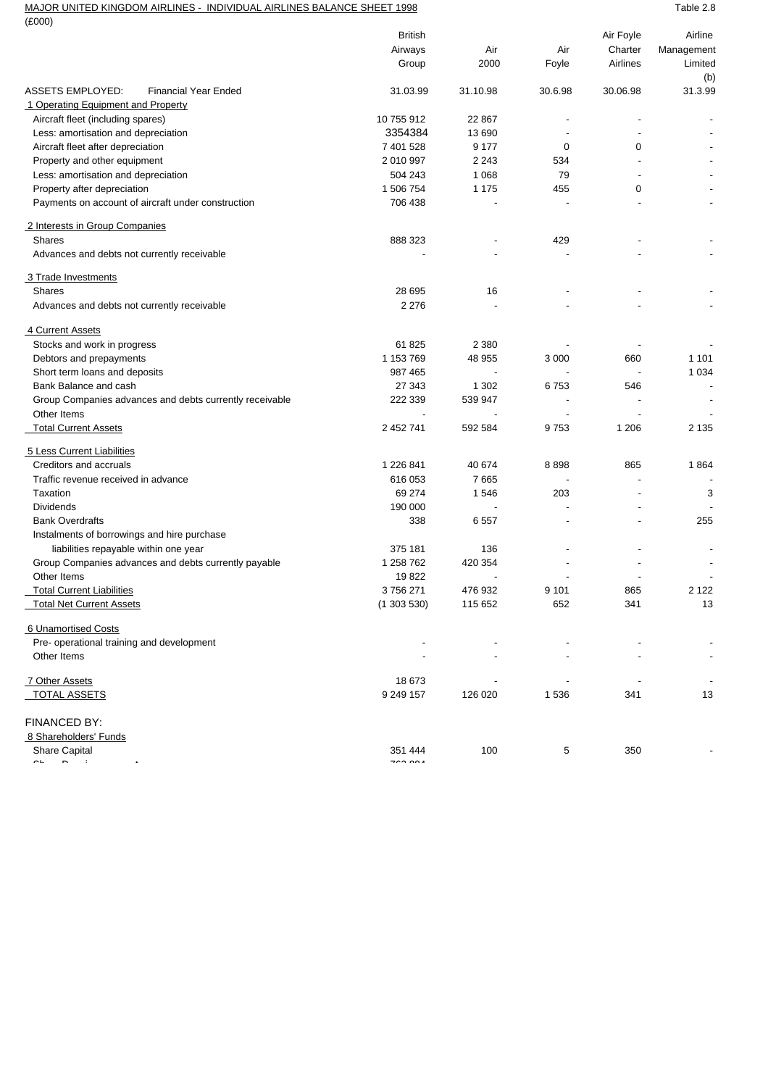## MAJOR UNITED KINGDOM AIRLINES - INDIVIDUAL AIRLINES BALANCE SHEET 1998 TABLE 2.8

| (E000)                                                  |                                                         |          |         |                          |                          |
|---------------------------------------------------------|---------------------------------------------------------|----------|---------|--------------------------|--------------------------|
|                                                         | British                                                 |          |         | Air Foyle                | Airline                  |
|                                                         | Airways                                                 | Air      | Air     | Charter                  | Management               |
|                                                         | Group                                                   | 2000     | Foyle   | Airlines                 | Limited                  |
|                                                         |                                                         |          |         |                          | (b)                      |
| <b>ASSETS EMPLOYED:</b><br><b>Financial Year Ended</b>  | 31.03.99                                                | 31.10.98 | 30.6.98 | 30.06.98                 | 31.3.99                  |
| 1 Operating Equipment and Property                      |                                                         |          |         |                          |                          |
| Aircraft fleet (including spares)                       | 10 755 912                                              | 22 867   | ٠       |                          |                          |
| Less: amortisation and depreciation                     | 3354384                                                 | 13 690   |         |                          |                          |
| Aircraft fleet after depreciation                       | 7 401 528                                               | 9 1 7 7  | 0       | 0                        |                          |
| Property and other equipment                            | 2 010 997                                               | 2 2 4 3  | 534     |                          |                          |
| Less: amortisation and depreciation                     | 504 243                                                 | 1 0 6 8  | 79      |                          |                          |
| Property after depreciation                             | 1 506 754                                               | 1 1 7 5  | 455     | 0                        |                          |
| Payments on account of aircraft under construction      | 706 438                                                 |          |         |                          |                          |
| 2 Interests in Group Companies                          |                                                         |          |         |                          |                          |
| <b>Shares</b>                                           | 888 323                                                 |          | 429     |                          |                          |
| Advances and debts not currently receivable             |                                                         |          |         |                          |                          |
| 3 Trade Investments                                     |                                                         |          |         |                          |                          |
| <b>Shares</b>                                           | 28 695                                                  | 16       |         |                          |                          |
| Advances and debts not currently receivable             | 2 2 7 6                                                 |          |         |                          |                          |
| 4 Current Assets                                        |                                                         |          |         |                          |                          |
| Stocks and work in progress                             | 61 825                                                  | 2 3 8 0  |         |                          |                          |
| Debtors and prepayments                                 | 1 153 769                                               | 48 955   | 3 0 0 0 | 660                      | 1 1 0 1                  |
| Short term loans and deposits                           | 987 465                                                 |          |         |                          | 1 0 3 4                  |
| Bank Balance and cash                                   | 27 343                                                  | 1 3 0 2  | 6753    | 546                      |                          |
| Group Companies advances and debts currently receivable | 222 339                                                 | 539 947  |         |                          |                          |
| Other Items                                             |                                                         |          |         |                          |                          |
| <b>Total Current Assets</b>                             | 2 452 741                                               | 592 584  | 9753    | 1 2 0 6                  | 2 1 3 5                  |
| 5 Less Current Liabilities                              |                                                         |          |         |                          |                          |
| Creditors and accruals                                  | 1 226 841                                               | 40 674   | 8898    | 865                      | 1864                     |
| Traffic revenue received in advance                     | 616 053                                                 | 7665     |         |                          |                          |
| Taxation                                                | 69 274                                                  | 1546     | 203     |                          | 3                        |
| <b>Dividends</b>                                        | 190 000                                                 |          |         |                          |                          |
| <b>Bank Overdrafts</b>                                  | 338                                                     | 6557     | ٠       | $\overline{\phantom{a}}$ | 255                      |
| Instalments of borrowings and hire purchase             |                                                         |          |         |                          |                          |
| liabilities repayable within one year                   | 375 181                                                 | 136      |         |                          |                          |
| Group Companies advances and debts currently payable    | 1 258 762                                               | 420 354  |         |                          |                          |
| Other Items                                             | 19822                                                   |          |         |                          |                          |
| <b>Total Current Liabilities</b>                        | 3756271                                                 | 476 932  | 9 1 0 1 | 865                      | 2 1 2 2                  |
| <b>Total Net Current Assets</b>                         | (1303530)                                               | 115 652  | 652     | 341                      | 13                       |
| 6 Unamortised Costs                                     |                                                         |          |         |                          |                          |
| Pre- operational training and development               |                                                         |          |         |                          |                          |
| Other Items                                             |                                                         |          |         |                          | $\blacksquare$           |
| 7 Other Assets                                          | 18 673                                                  |          |         |                          | $\overline{\phantom{a}}$ |
| <b>TOTAL ASSETS</b>                                     | 9 249 157                                               | 126 020  | 1 5 3 6 | 341                      | 13                       |
| FINANCED BY:                                            |                                                         |          |         |                          |                          |
| 8 Shareholders' Funds                                   |                                                         |          |         |                          |                          |
| Share Capital                                           | 351 444                                                 | 100      | 5       | 350                      |                          |
| $\overline{\phantom{a}}$<br>r.                          | $\rightarrow$ $\rightarrow$ $\rightarrow$ $\rightarrow$ |          |         |                          |                          |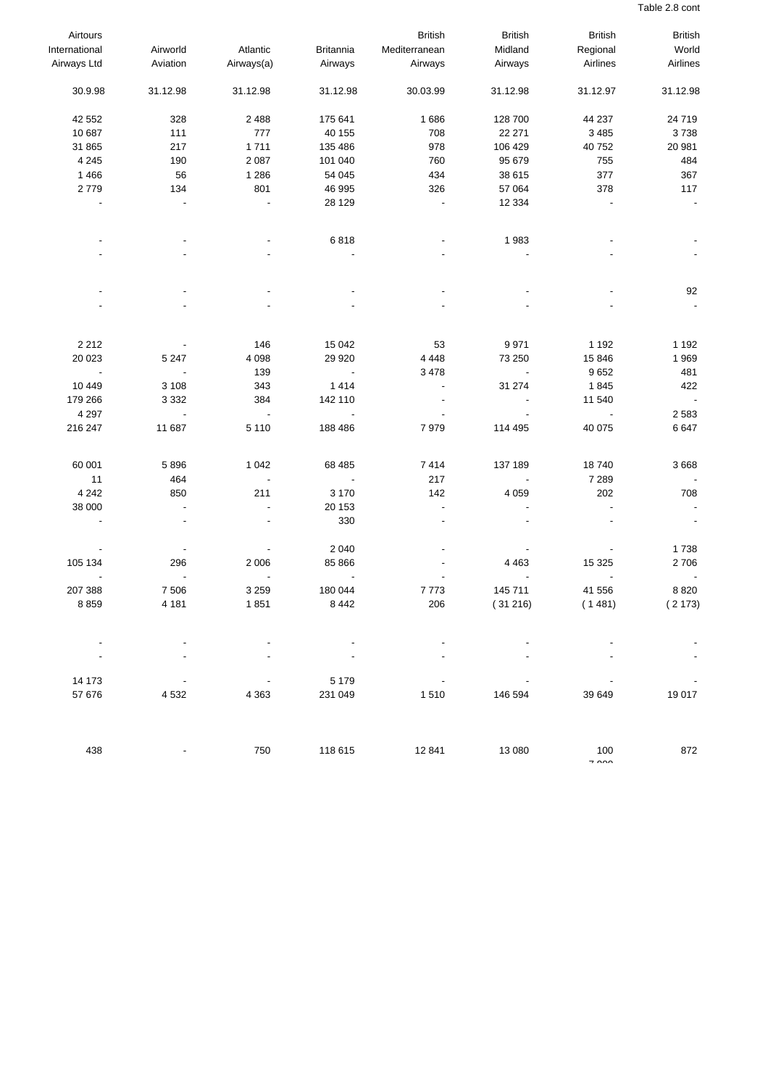Table 2.8 cont

| Airtours       |                          |            |                          | <b>British</b> | <b>British</b> | <b>British</b>                  | <b>British</b>           |
|----------------|--------------------------|------------|--------------------------|----------------|----------------|---------------------------------|--------------------------|
| International  | Airworld                 | Atlantic   | <b>Britannia</b>         | Mediterranean  | Midland        | Regional                        | World                    |
| Airways Ltd    | Aviation                 | Airways(a) | Airways                  | Airways        | Airways        | Airlines                        | Airlines                 |
| 30.9.98        | 31.12.98                 | 31.12.98   | 31.12.98                 | 30.03.99       | 31.12.98       | 31.12.97                        | 31.12.98                 |
| 42 552         | 328                      | 2 4 8 8    | 175 641                  | 1686           | 128 700        | 44 237                          | 24 719                   |
| 10 687         | 111                      | 777        | 40 155                   | 708            | 22 271         | 3 4 8 5                         | 3738                     |
| 31 865         | 217                      | 1711       | 135 486                  | 978            | 106 429        | 40 752                          | 20 981                   |
| 4 2 4 5        | 190                      | 2 0 8 7    | 101 040                  | 760            | 95 679         | 755                             | 484                      |
| 1466           | 56                       | 1 2 8 6    | 54 045                   | 434            | 38 615         | 377                             | 367                      |
| 2779           | 134                      | 801        | 46 995                   | 326            | 57 064         | 378                             | 117                      |
|                |                          |            | 28 1 29                  |                | 12 3 34        |                                 |                          |
|                |                          |            |                          |                |                |                                 |                          |
|                |                          |            | 6818                     |                | 1983           |                                 |                          |
|                |                          |            |                          |                |                |                                 |                          |
|                |                          |            |                          |                |                |                                 | 92                       |
|                |                          |            |                          |                |                |                                 |                          |
| 2 2 1 2        |                          | 146        | 15 042                   | 53             | 9971           | 1 1 9 2                         | 1 1 9 2                  |
| 20 023         | 5 2 4 7                  | 4 0 9 8    | 29 9 20                  | 4 4 4 8        | 73 250         | 15 846                          | 1969                     |
| $\overline{a}$ |                          | 139        | $\overline{\phantom{a}}$ | 3 4 7 8        |                | 9652                            | 481                      |
| 10 4 49        | 3 1 0 8                  | 343        | 1414                     | $\overline{a}$ | 31 274         | 1845                            | 422                      |
| 179 266        | 3 3 3 2                  | 384        | 142 110                  |                |                | 11 540                          | $\overline{\phantom{a}}$ |
| 4 2 9 7        | $\overline{a}$           |            | $\overline{\phantom{a}}$ |                |                |                                 | 2583                     |
| 216 247        | 11 687                   | 5 1 1 0    | 188 486                  | 7979           | 114 495        | 40 075                          | 6647                     |
| 60 001         | 5896                     | 1 0 4 2    | 68 485                   | 7414           | 137 189        | 18740                           | 3 6 6 8                  |
| 11             | 464                      |            |                          | 217            |                | 7 2 8 9                         |                          |
| 4 2 4 2        | 850                      | 211        | 3 1 7 0                  | 142            | 4 0 5 9        | 202                             | 708                      |
| 38 000         | $\overline{\phantom{a}}$ |            | 20 153                   | $\overline{a}$ |                |                                 |                          |
|                |                          |            | 330                      |                |                |                                 |                          |
|                |                          |            | 2 0 4 0                  |                |                |                                 | 1738                     |
| 105 134        | 296                      | 2 0 0 6    | 85 866                   |                | 4 4 6 3        | 15 3 25                         | 2706                     |
| 207 388        | 7 506                    | 3 2 5 9    | 180 044                  | 7773           | 145 711        | 41 556                          | 8820                     |
| 8859           | 4 181                    | 1851       | 8 4 4 2                  | 206            | (31216)        | (1481)                          | (2173)                   |
|                |                          |            |                          |                |                |                                 |                          |
|                |                          |            |                          |                |                |                                 |                          |
| 14 173         |                          |            | 5 1 7 9                  |                |                |                                 |                          |
| 57 676         | 4 5 3 2                  | 4 3 6 3    | 231 049                  | 1510           | 146 594        | 39 649                          | 19 017                   |
|                |                          |            |                          |                |                |                                 |                          |
| 438            |                          | 750        | 118 615                  | 12 841         | 13 080         | 100<br>$\overline{\phantom{a}}$ | 872                      |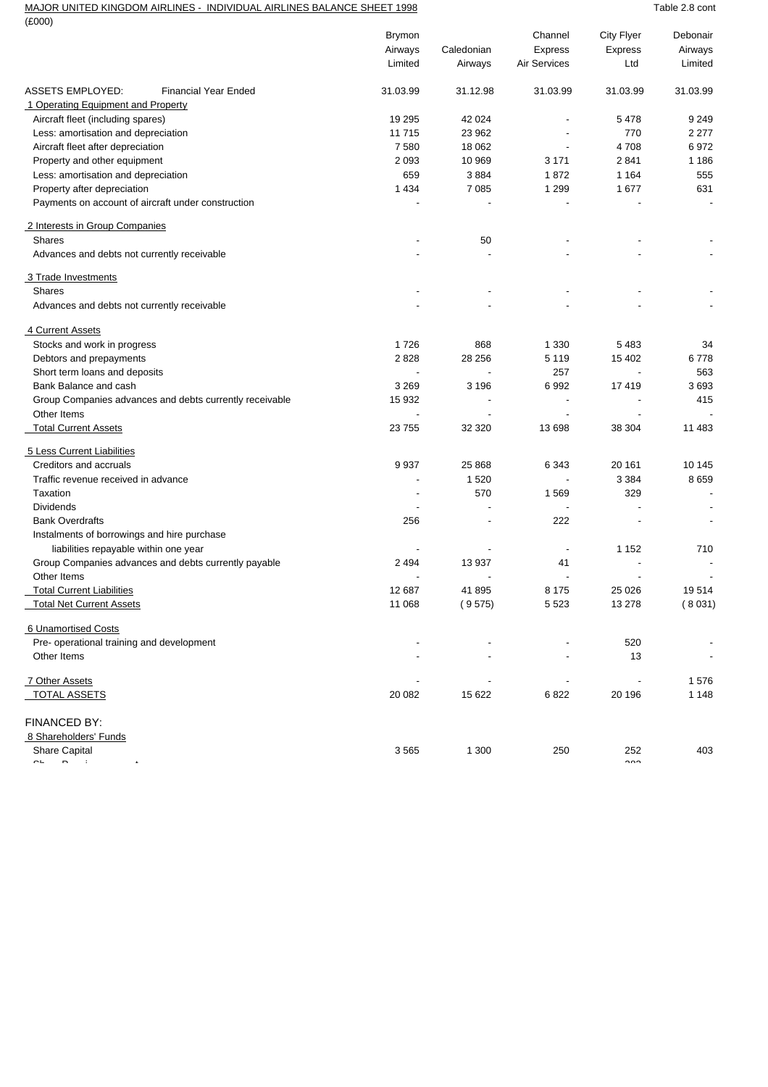## MAJOR UNITED KINGDOM AIRLINES - INDIVIDUAL AIRLINES BALANCE SHEET 1998 TABLE 1998

| $(\text{\pounds}000)$                                   |                |            |                          |                          |                          |
|---------------------------------------------------------|----------------|------------|--------------------------|--------------------------|--------------------------|
|                                                         | <b>Brymon</b>  |            | Channel                  | City Flyer               | Debonair                 |
|                                                         | Airways        | Caledonian | <b>Express</b>           | Express                  | Airways                  |
|                                                         | Limited        | Airways    | <b>Air Services</b>      | Ltd                      | Limited                  |
| <b>ASSETS EMPLOYED:</b><br><b>Financial Year Ended</b>  | 31.03.99       | 31.12.98   | 31.03.99                 | 31.03.99                 | 31.03.99                 |
| 1 Operating Equipment and Property                      |                |            |                          |                          |                          |
| Aircraft fleet (including spares)                       | 19 295         | 42 0 24    |                          | 5478                     | 9 2 4 9                  |
| Less: amortisation and depreciation                     | 11 715         | 23 962     |                          | 770                      | 2 277                    |
| Aircraft fleet after depreciation                       | 7580           | 18 062     |                          | 4708                     | 6972                     |
| Property and other equipment                            | 2 0 9 3        | 10 969     | 3 1 7 1                  | 2841                     | 1 1 8 6                  |
| Less: amortisation and depreciation                     | 659            | 3884       | 1872                     | 1 1 6 4                  | 555                      |
| Property after depreciation                             | 1 4 3 4        | 7 0 8 5    | 1 2 9 9                  | 1677                     | 631                      |
| Payments on account of aircraft under construction      |                |            |                          |                          |                          |
| 2 Interests in Group Companies                          |                |            |                          |                          |                          |
| <b>Shares</b>                                           |                | 50         |                          |                          |                          |
| Advances and debts not currently receivable             |                |            |                          |                          |                          |
| 3 Trade Investments                                     |                |            |                          |                          |                          |
| <b>Shares</b>                                           |                |            |                          |                          |                          |
| Advances and debts not currently receivable             |                |            |                          |                          |                          |
| 4 Current Assets                                        |                |            |                          |                          |                          |
| Stocks and work in progress                             | 1726           | 868        | 1 3 3 0                  | 5483                     | 34                       |
| Debtors and prepayments                                 | 2828           | 28 25 6    | 5 1 1 9                  | 15 402                   | 6778                     |
| Short term loans and deposits                           |                |            | 257                      |                          | 563                      |
| Bank Balance and cash                                   | 3 2 6 9        | 3 1 9 6    | 6992                     | 17419                    | 3693                     |
| Group Companies advances and debts currently receivable | 15 932         |            |                          |                          | 415                      |
| Other Items                                             |                |            |                          |                          |                          |
| <b>Total Current Assets</b>                             | 23 755         | 32 3 20    | 13 698                   | 38 304                   | 11 483                   |
| 5 Less Current Liabilities                              |                |            |                          |                          |                          |
| Creditors and accruals                                  | 9937           | 25 8 68    | 6 3 4 3                  | 20 161                   | 10 145                   |
| Traffic revenue received in advance                     | $\blacksquare$ | 1520       |                          | 3 3 8 4                  | 8659                     |
| Taxation                                                |                | 570        | 1 5 6 9                  | 329                      |                          |
| <b>Dividends</b>                                        |                |            |                          |                          |                          |
| <b>Bank Overdrafts</b>                                  | 256            |            | 222                      |                          |                          |
| Instalments of borrowings and hire purchase             |                |            |                          |                          |                          |
| liabilities repayable within one year                   |                |            | $\overline{\phantom{a}}$ | 1 1 5 2                  | 710                      |
| Group Companies advances and debts currently payable    | 2 4 9 4        | 13 937     | 41                       |                          |                          |
| Other Items                                             |                |            |                          |                          |                          |
| <b>Total Current Liabilities</b>                        | 12 687         | 41895      | 8 1 7 5                  | 25 0 26                  | 19514                    |
| <b>Total Net Current Assets</b>                         | 11 068         | (9575)     | 5 5 2 3                  | 13 278                   | (8031)                   |
| 6 Unamortised Costs                                     |                |            |                          |                          |                          |
| Pre- operational training and development               |                |            |                          | 520                      |                          |
| Other Items                                             |                |            |                          | 13                       | $\overline{\phantom{a}}$ |
| 7 Other Assets                                          | ÷              |            |                          | $\overline{\phantom{a}}$ | 1576                     |
| <b>TOTAL ASSETS</b>                                     | 20 082         | 15 622     | 6822                     | 20 196                   | 1 1 4 8                  |
| FINANCED BY:                                            |                |            |                          |                          |                          |
| 8 Shareholders' Funds                                   |                |            |                          |                          |                          |
| Share Capital                                           | 3565           | 1 300      | 250                      | 252                      | 403                      |
| $\ddot{\phantom{1}}$<br>$\overline{\phantom{0}}$        |                |            |                          | $\sim$                   |                          |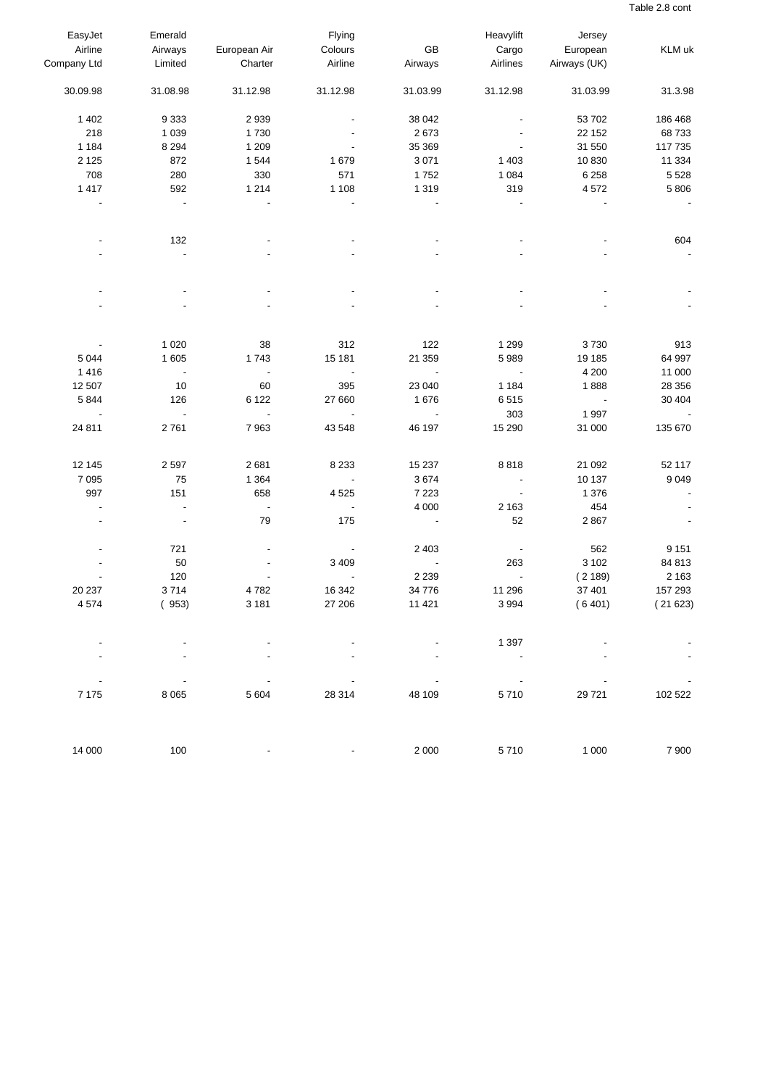Table 2.8 cont

| EasyJet                  | Emerald                  |                          | Flying                   |                          | Heavylift                | Jersey                   |         |
|--------------------------|--------------------------|--------------------------|--------------------------|--------------------------|--------------------------|--------------------------|---------|
| Airline                  | Airways                  | European Air             | Colours                  | GB                       | Cargo                    | European                 | KLM uk  |
| Company Ltd              | Limited                  | Charter                  | Airline                  | Airways                  | Airlines                 | Airways (UK)             |         |
| 30.09.98                 | 31.08.98                 | 31.12.98                 | 31.12.98                 | 31.03.99                 | 31.12.98                 | 31.03.99                 | 31.3.98 |
| 1 4 0 2                  | 9 3 3 3                  | 2 9 3 9                  |                          | 38 042                   |                          | 53 702                   | 186 468 |
| 218                      | 1 0 3 9                  | 1730                     |                          | 2673                     |                          | 22 152                   | 68733   |
| 1 1 8 4                  | 8 2 9 4                  | 1 2 0 9                  |                          | 35 369                   |                          | 31 550                   | 117 735 |
| 2 1 2 5                  | 872                      | 1 5 4 4                  | 1679                     | 3 0 7 1                  | 1 4 0 3                  | 10 830                   | 11 334  |
| 708                      | 280                      | 330                      | 571                      | 1752                     | 1 0 8 4                  | 6 2 5 8                  | 5 5 2 8 |
| 1 4 1 7                  | 592                      | 1 2 1 4                  | 1 1 0 8                  | 1 3 1 9                  | 319                      | 4572                     | 5 8 0 6 |
| $\blacksquare$           | $\blacksquare$           |                          |                          |                          |                          |                          |         |
|                          | 132                      |                          |                          |                          |                          |                          | 604     |
|                          | ÷,                       |                          |                          |                          |                          |                          |         |
|                          |                          |                          |                          |                          |                          |                          |         |
|                          |                          |                          |                          |                          |                          |                          |         |
|                          | 1 0 2 0                  | 38                       | 312                      | 122                      | 1 2 9 9                  | 3730                     | 913     |
| 5 0 4 4                  | 1 605                    | 1743                     | 15 181                   | 21 359                   | 5989                     | 19 185                   | 64 997  |
| 1416                     | $\blacksquare$           | $\overline{\phantom{a}}$ | $\blacksquare$           | $\overline{\phantom{a}}$ | $\overline{\phantom{a}}$ | 4 200                    | 11 000  |
| 12 507                   | 10                       | 60                       | 395                      | 23 040                   | 1 1 8 4                  | 1888                     | 28 35 6 |
| 5844                     | 126                      | 6 1 2 2                  | 27 660                   | 1676                     | 6515                     | $\overline{\phantom{a}}$ | 30 404  |
| $\overline{\phantom{a}}$ | $\overline{\phantom{a}}$ | $\Box$                   | $\overline{\phantom{a}}$ | $\blacksquare$           | 303                      | 1 9 9 7                  |         |
| 24 811                   | 2761                     | 7963                     | 43 548                   | 46 197                   | 15 290                   | 31 000                   | 135 670 |
| 12 145                   | 2 5 9 7                  | 2681                     | 8 2 3 3                  | 15 2 37                  | 8818                     | 21 092                   | 52 117  |
| 7 0 9 5                  | 75                       | 1 3 6 4                  |                          | 3674                     | $\overline{\phantom{a}}$ | 10 137                   | 9 0 4 9 |
| 997                      | 151                      | 658                      | 4525                     | 7 2 2 3                  | $\blacksquare$           | 1 3 7 6                  |         |
| $\overline{\phantom{a}}$ | $\blacksquare$           | $\overline{\phantom{a}}$ |                          | 4 0 0 0                  | 2 1 6 3                  | 454                      |         |
|                          | $\blacksquare$           | 79                       | 175                      | $\blacksquare$           | 52                       | 2867                     |         |
|                          | 721                      |                          |                          | 2 4 0 3                  |                          | 562                      | 9 1 5 1 |
|                          | 50                       |                          | 3 4 0 9                  | $\overline{\phantom{a}}$ | 263                      | 3 1 0 2                  | 84 813  |
|                          | 120                      |                          |                          | 2 2 3 9                  | $\overline{\phantom{a}}$ | (2189)                   | 2 1 6 3 |
| 20 237                   | 3714                     | 4782                     | 16 342                   | 34 776                   | 11 296                   | 37 401                   | 157 293 |
| 4574                     | (953)                    | 3 1 8 1                  | 27 206                   | 11 4 21                  | 3 9 9 4                  | (6401)                   | (21623) |
|                          |                          |                          |                          |                          | 1 3 9 7                  |                          |         |
|                          |                          |                          |                          |                          |                          |                          |         |
| 7 1 7 5                  | 8 0 6 5                  | 5 6 0 4                  | 28 314                   | 48 109                   | 5710                     | 29 7 21                  | 102 522 |
| 14 000                   | 100                      |                          |                          | 2 0 0 0                  | 5710                     | 1 0 0 0                  | 7 9 0 0 |